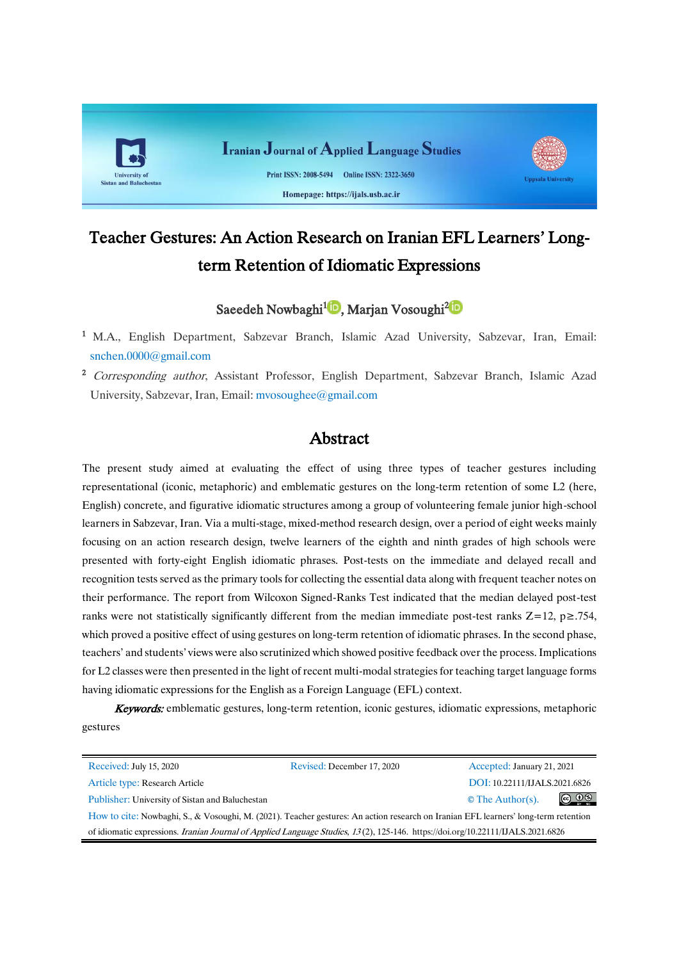

# Teacher Gestures: An Action Research on Iranian EFL Learners' Longterm Retention of Idiomatic Expressions

# Saeedeh Nowbaghi<sup>1</sup><sup>D</sup>[,](https://orcid.org/0000-0002-4564-0939)Marjan Vosoughi<sup>2</sup>D

- <sup>1</sup> M.A., English Department, Sabzevar Branch, Islamic Azad University, Sabzevar, Iran, Email: [snchen.0000@gmail.com](mailto:snchen.0000@gmail.com)
- <sup>2</sup> Corresponding author, Assistant Professor, English Department, Sabzevar Branch, Islamic Azad University, Sabzevar, Iran, Email: mvosoughee@gmail.com

# Abstract

The present study aimed at evaluating the effect of using three types of teacher gestures including representational (iconic, metaphoric) and emblematic gestures on the long-term retention of some L2 (here, English) concrete, and figurative idiomatic structures among a group of volunteering female junior high-school learners in Sabzevar, Iran. Via a multi-stage, mixed-method research design, over a period of eight weeks mainly focusing on an action research design, twelve learners of the eighth and ninth grades of high schools were presented with forty-eight English idiomatic phrases. Post-tests on the immediate and delayed recall and recognition tests served as the primary tools for collecting the essential data along with frequent teacher notes on their performance. The report from Wilcoxon Signed-Ranks Test indicated that the median delayed post-test ranks were not statistically significantly different from the median immediate post-test ranks  $Z=12$ ,  $p\geq .754$ , which proved a positive effect of using gestures on long-term retention of idiomatic phrases. In the second phase, teachers' and students' views were also scrutinized which showed positive feedback over the process. Implications for L2 classes were then presented in the light of recent multi-modal strategies for teaching target language forms having idiomatic expressions for the English as a Foreign Language (EFL) context.

Keywords: emblematic gestures, long-term retention, iconic gestures, idiomatic expressions, metaphoric gestures

| Received: July 15, 2020                                                                                                                 | Revised: December 17, 2020 | Accepted: January 21, 2021    |                               |
|-----------------------------------------------------------------------------------------------------------------------------------------|----------------------------|-------------------------------|-------------------------------|
| Article type: Research Article                                                                                                          |                            | DOI: 10.22111/IJALS.2021.6826 |                               |
| Publisher: University of Sistan and Baluchestan                                                                                         |                            | $\circ$ The Author(s).        | $\circledcirc$ $\circledcirc$ |
| How to cite: Nowbaghi, S., & Vosoughi, M. (2021). Teacher gestures: An action research on Iranian EFL learners' long-term retention     |                            |                               |                               |
| of idiomatic expressions. <i>Iranian Journal of Applied Language Studies</i> , 13(2), 125-146. https://doi.org/10.22111/IJALS.2021.6826 |                            |                               |                               |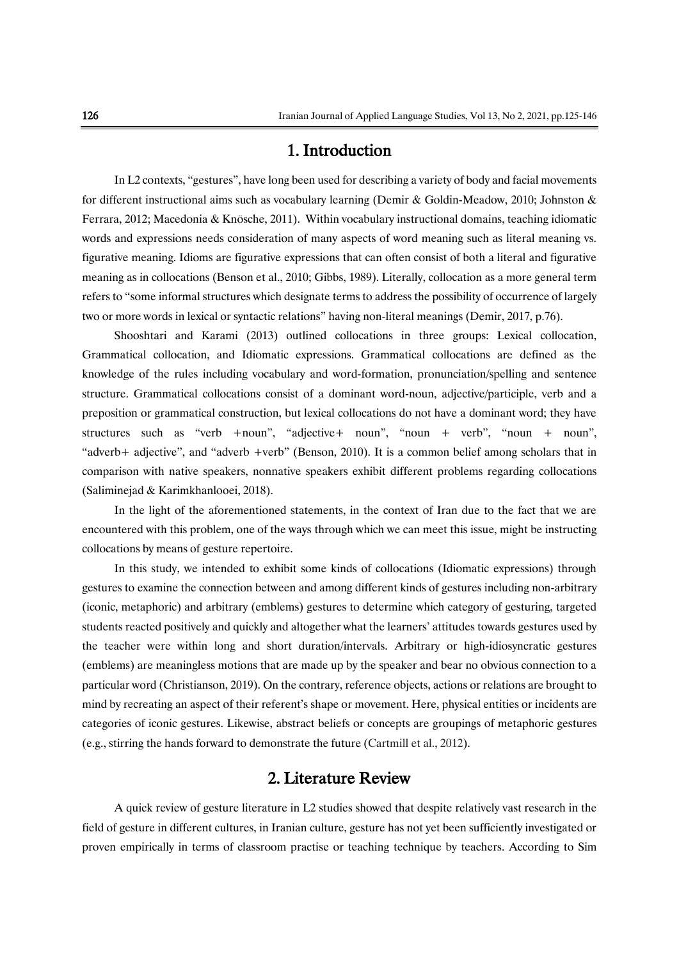# 1. Introduction

In L2 contexts, "gestures", have long been used for describing a variety of body and facial movements for different instructional aims such as vocabulary learning (Demir & Goldin-Meadow, 2010; Johnston & Ferrara, 2012; Macedonia & Knösche, 2011). Within vocabulary instructional domains, teaching idiomatic words and expressions needs consideration of many aspects of word meaning such as literal meaning vs. figurative meaning. Idioms are figurative expressions that can often consist of both a literal and figurative meaning as in collocations (Benson et al., 2010; Gibbs, 1989). Literally, collocation as a more general term refers to "some informal structures which designate terms to address the possibility of occurrence of largely two or more words in lexical or syntactic relations" having non-literal meanings (Demir, 2017, p.76).

Shooshtari and Karami (2013) outlined collocations in three groups: Lexical collocation, Grammatical collocation, and Idiomatic expressions. Grammatical collocations are defined as the knowledge of the rules including vocabulary and word-formation, pronunciation/spelling and sentence structure. Grammatical collocations consist of a dominant word-noun, adjective/participle, verb and a preposition or grammatical construction, but lexical collocations do not have a dominant word; they have structures such as "verb +noun", "adjective+ noun", "noun + verb", "noun + noun", "adverb+ adjective", and "adverb +verb" (Benson, 2010). It is a common belief among scholars that in comparison with native speakers, nonnative speakers exhibit different problems regarding collocations (Saliminejad & Karimkhanlooei, 2018).

In the light of the aforementioned statements, in the context of Iran due to the fact that we are encountered with this problem, one of the ways through which we can meet this issue, might be instructing collocations by means of gesture repertoire.

In this study, we intended to exhibit some kinds of collocations (Idiomatic expressions) through gestures to examine the connection between and among different kinds of gestures including non-arbitrary (iconic, metaphoric) and arbitrary (emblems) gestures to determine which category of gesturing, targeted students reacted positively and quickly and altogether what the learners' attitudes towards gestures used by the teacher were within long and short duration/intervals. Arbitrary or high-idiosyncratic gestures (emblems) are meaningless motions that are made up by the speaker and bear no obvious connection to a particular word (Christianson, 2019). On the contrary, reference objects, actions or relations are brought to mind by recreating an aspect of their referent's shape or movement. Here, physical entities or incidents are categories of iconic gestures. Likewise, abstract beliefs or concepts are groupings of metaphoric gestures (e.g., stirring the hands forward to demonstrate the future (Cartmill et al., 2012).

# 2. Literature Review

A quick review of gesture literature in L2 studies showed that despite relatively vast research in the field of gesture in different cultures, in Iranian culture, gesture has not yet been sufficiently investigated or proven empirically in terms of classroom practise or teaching technique by teachers. According to Sim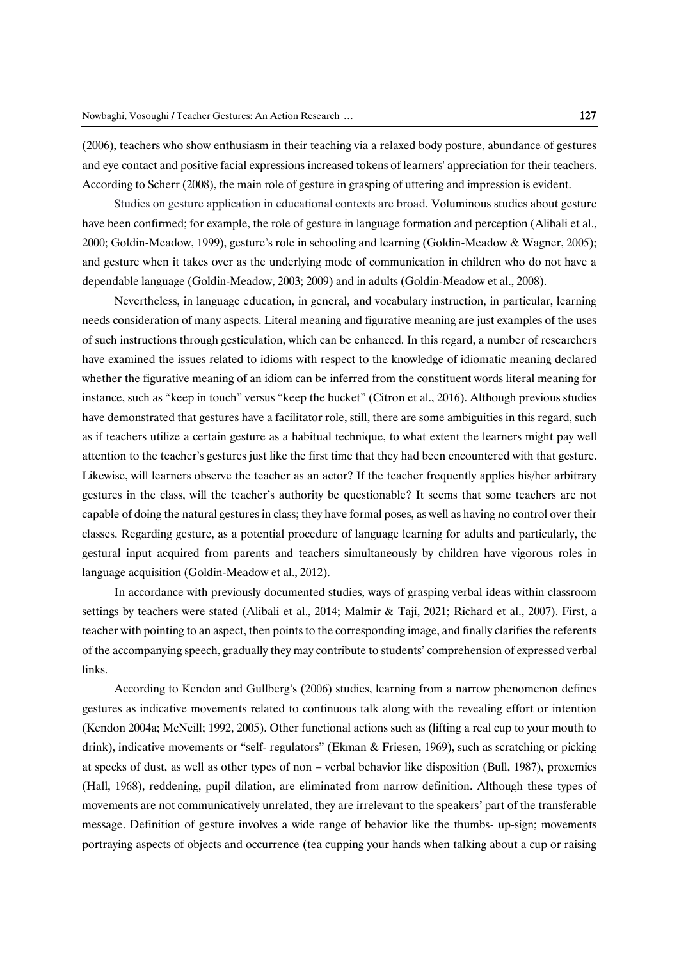(2006), teachers who show enthusiasm in their teaching via a relaxed body posture, abundance of gestures and eye contact and positive facial expressions increased tokens of learners' appreciation for their teachers. According to Scherr (2008), the main role of gesture in grasping of uttering and impression is evident.

Studies on gesture application in educational contexts are broad. Voluminous studies about gesture have been confirmed; for example, the role of gesture in language formation and perception (Alibali et al., 2000; Goldin-Meadow, 1999), gesture's role in schooling and learning (Goldin-Meadow & Wagner, 2005); and gesture when it takes over as the underlying mode of communication in children who do not have a dependable language (Goldin-Meadow, 2003; 2009) and in adults (Goldin-Meadow et al., 2008).

Nevertheless, in language education, in general, and vocabulary instruction, in particular, learning needs consideration of many aspects. Literal meaning and figurative meaning are just examples of the uses of such instructions through gesticulation, which can be enhanced. In this regard, a number of researchers have examined the issues related to idioms with respect to the knowledge of idiomatic meaning declared whether the figurative meaning of an idiom can be inferred from the constituent words literal meaning for instance, such as "keep in touch" versus "keep the bucket" (Citron et al., 2016). Although previous studies have demonstrated that gestures have a facilitator role, still, there are some ambiguities in this regard, such as if teachers utilize a certain gesture as a habitual technique, to what extent the learners might pay well attention to the teacher's gestures just like the first time that they had been encountered with that gesture. Likewise, will learners observe the teacher as an actor? If the teacher frequently applies his/her arbitrary gestures in the class, will the teacher's authority be questionable? It seems that some teachers are not capable of doing the natural gestures in class; they have formal poses, as well as having no control over their classes. Regarding gesture, as a potential procedure of language learning for adults and particularly, the gestural input acquired from parents and teachers simultaneously by children have vigorous roles in language acquisition (Goldin-Meadow et al., 2012).

In accordance with previously documented studies, ways of grasping verbal ideas within classroom settings by teachers were stated (Alibali et al., 2014; Malmir & Taji, 2021; Richard et al., 2007). First, a teacher with pointing to an aspect, then points to the corresponding image, and finally clarifies the referents of the accompanying speech, gradually they may contribute to students' comprehension of expressed verbal links.

According to Kendon and Gullberg's (2006) studies, learning from a narrow phenomenon defines gestures as indicative movements related to continuous talk along with the revealing effort or intention (Kendon 2004a; McNeill; 1992, 2005). Other functional actions such as (lifting a real cup to your mouth to drink), indicative movements or "self- regulators" (Ekman & Friesen, 1969), such as scratching or picking at specks of dust, as well as other types of non – verbal behavior like disposition (Bull, 1987), proxemics (Hall, 1968), reddening, pupil dilation, are eliminated from narrow definition. Although these types of movements are not communicatively unrelated, they are irrelevant to the speakers' part of the transferable message. Definition of gesture involves a wide range of behavior like the thumbs- up-sign; movements portraying aspects of objects and occurrence (tea cupping your hands when talking about a cup or raising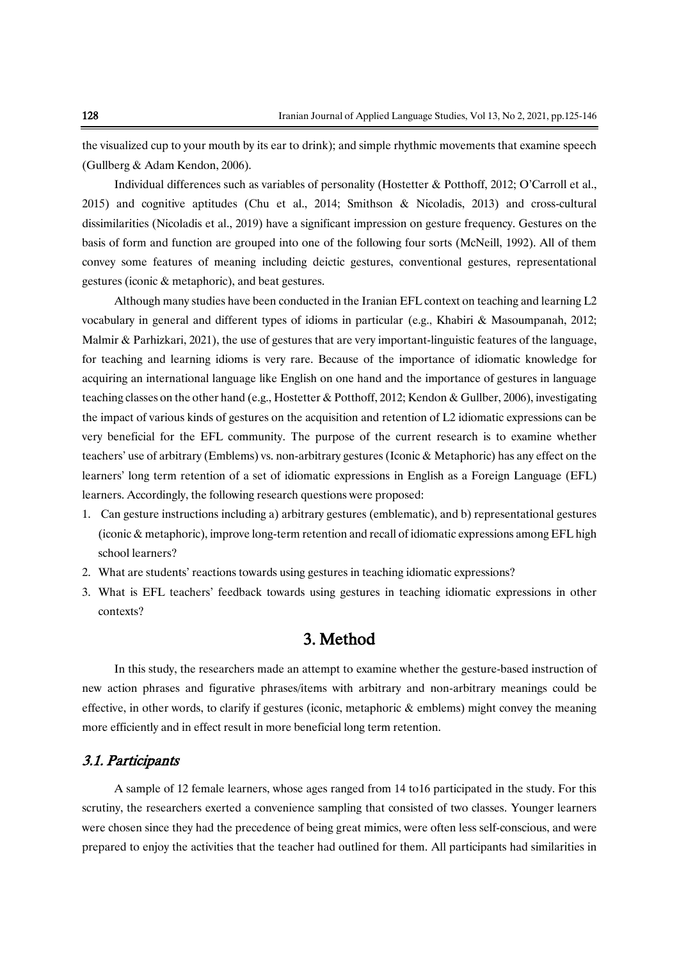the visualized cup to your mouth by its ear to drink); and simple rhythmic movements that examine speech (Gullberg & Adam Kendon, 2006).

Individual differences such as variables of personality (Hostetter & Potthoff, 2012; O'Carroll et al., 2015) and cognitive aptitudes (Chu et al., 2014; Smithson & Nicoladis, 2013) and cross-cultural dissimilarities (Nicoladis et al., 2019) have a significant impression on gesture frequency. Gestures on the basis of form and function are grouped into one of the following four sorts (McNeill, 1992). All of them convey some features of meaning including deictic gestures, conventional gestures, representational gestures (iconic & metaphoric), and beat gestures.

Although many studies have been conducted in the Iranian EFL context on teaching and learning L2 vocabulary in general and different types of idioms in particular (e.g., Khabiri & Masoumpanah, 2012; Malmir & Parhizkari, 2021), the use of gestures that are very important-linguistic features of the language, for teaching and learning idioms is very rare. Because of the importance of idiomatic knowledge for acquiring an international language like English on one hand and the importance of gestures in language teaching classes on the other hand (e.g., Hostetter & Potthoff, 2012; Kendon & Gullber, 2006), investigating the impact of various kinds of gestures on the acquisition and retention of L2 idiomatic expressions can be very beneficial for the EFL community. The purpose of the current research is to examine whether teachers' use of arbitrary (Emblems) vs. non-arbitrary gestures (Iconic & Metaphoric) has any effect on the learners' long term retention of a set of idiomatic expressions in English as a Foreign Language (EFL) learners. Accordingly, the following research questions were proposed:

- 1. Can gesture instructions including a) arbitrary gestures (emblematic), and b) representational gestures (iconic & metaphoric), improve long-term retention and recall of idiomatic expressions among EFL high school learners?
- 2. What are students' reactions towards using gestures in teaching idiomatic expressions?
- 3. What is EFL teachers' feedback towards using gestures in teaching idiomatic expressions in other contexts?

# 3. Method

In this study, the researchers made an attempt to examine whether the gesture-based instruction of new action phrases and figurative phrases/items with arbitrary and non-arbitrary meanings could be effective, in other words, to clarify if gestures (iconic, metaphoric  $\&$  emblems) might convey the meaning more efficiently and in effect result in more beneficial long term retention.

#### 3.1. Participants

A sample of 12 female learners, whose ages ranged from 14 to16 participated in the study. For this scrutiny, the researchers exerted a convenience sampling that consisted of two classes. Younger learners were chosen since they had the precedence of being great mimics, were often less self-conscious, and were prepared to enjoy the activities that the teacher had outlined for them. All participants had similarities in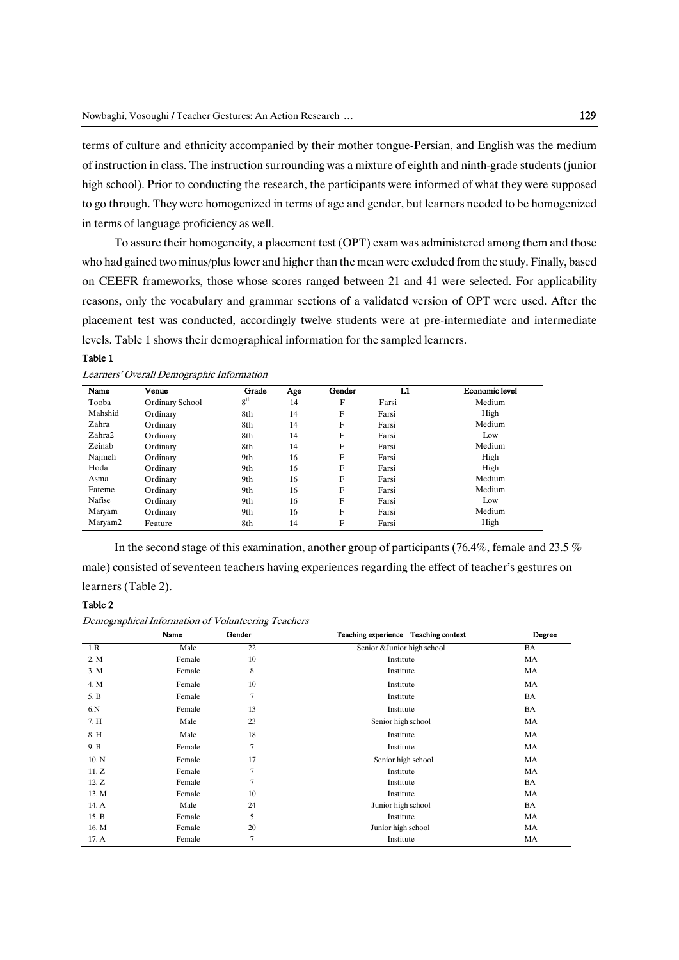terms of culture and ethnicity accompanied by their mother tongue-Persian, and English was the medium of instruction in class. The instruction surrounding was a mixture of eighth and ninth-grade students (junior high school). Prior to conducting the research, the participants were informed of what they were supposed to go through. They were homogenized in terms of age and gender, but learners needed to be homogenized in terms of language proficiency as well.

To assure their homogeneity, a placement test (OPT) exam was administered among them and those who had gained two minus/pluslower and higher than the mean were excluded from the study. Finally, based on CEEFR frameworks, those whose scores ranged between 21 and 41 were selected. For applicability reasons, only the vocabulary and grammar sections of a validated version of OPT were used. After the placement test was conducted, accordingly twelve students were at pre-intermediate and intermediate levels. Table 1 shows their demographical information for the sampled learners.

#### Table 1

| Name    | Venue           | Grade           | Age | Gender | L1    | <b>Economic level</b> |
|---------|-----------------|-----------------|-----|--------|-------|-----------------------|
| Tooba   | Ordinary School | 8 <sup>th</sup> | 14  | F      | Farsi | Medium                |
| Mahshid | Ordinary        | 8th             | 14  | F      | Farsi | High                  |
| Zahra   | Ordinary        | 8th             | 14  | F      | Farsi | Medium                |
| Zahra2  | Ordinary        | 8th             | 14  | F      | Farsi | Low                   |
| Zeinab  | Ordinary        | 8th             | 14  | F      | Farsi | Medium                |
| Najmeh  | Ordinary        | 9th             | 16  | F      | Farsi | High                  |
| Hoda    | Ordinary        | 9th             | 16  | F      | Farsi | High                  |
| Asma    | Ordinary        | 9th             | 16  | F      | Farsi | Medium                |
| Fateme  | Ordinary        | 9th             | 16  | F      | Farsi | Medium                |
| Nafise  | Ordinary        | 9th             | 16  | F      | Farsi | Low                   |
| Maryam  | Ordinary        | 9th             | 16  | F      | Farsi | Medium                |
| Maryam2 | Feature         | 8th             | 14  | F      | Farsi | High                  |

Learners' Overall Demographic Information

In the second stage of this examination, another group of participants (76.4%, female and 23.5 % male) consisted of seventeen teachers having experiences regarding the effect of teacher's gestures on learners (Table 2).

#### Table 2

```
Demographical Information of Volunteering Teachers
```

|       | Name   | Gender | Teaching experience Teaching context | Degree    |
|-------|--------|--------|--------------------------------------|-----------|
| 1.R   | Male   | 22     | Senior & Junior high school          | BA        |
| 2. M  | Female | 10     | Institute                            | MA        |
| 3. M  | Female | 8      | Institute                            | MA        |
| 4. M  | Female | 10     | Institute                            | MA        |
| 5. B  | Female | 7      | Institute                            | BA        |
| 6.N   | Female | 13     | Institute                            | BA        |
| 7. H  | Male   | 23     | Senior high school                   | MA        |
| 8. H  | Male   | 18     | Institute                            | MA        |
| 9. B  | Female | 7      | Institute                            | MA        |
| 10. N | Female | 17     | Senior high school                   | MA        |
| 11. Z | Female | 7      | Institute                            | MA        |
| 12. Z | Female | 7      | Institute                            | BA        |
| 13. M | Female | 10     | Institute                            | MA        |
| 14. A | Male   | 24     | Junior high school                   | BA        |
| 15. B | Female | 5      | Institute                            | <b>MA</b> |
| 16. M | Female | 20     | Junior high school                   | MA        |
| 17. A | Female | 7      | Institute                            | MA        |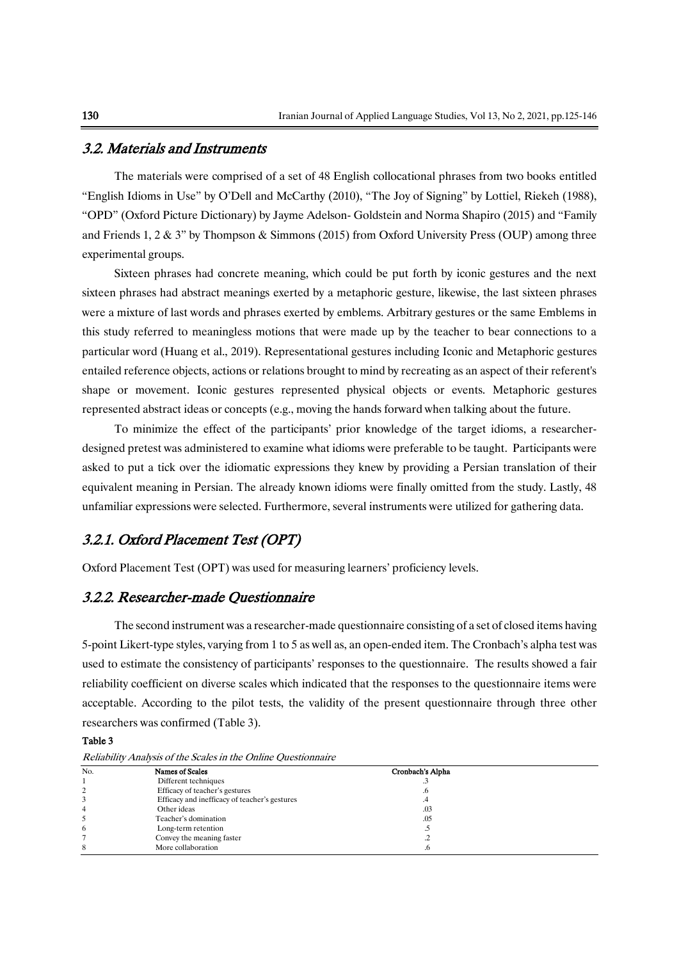#### 3.2. Materials and Instruments

The materials were comprised of a set of 48 English collocational phrases from two books entitled "English Idioms in Use" by O'Dell and McCarthy (2010), "The Joy of Signing" by Lottiel, Riekeh (1988), "OPD" (Oxford Picture Dictionary) by Jayme Adelson- Goldstein and Norma Shapiro (2015) and "Family and Friends 1, 2 & 3" by Thompson & Simmons (2015) from Oxford University Press (OUP) among three experimental groups.

Sixteen phrases had concrete meaning, which could be put forth by iconic gestures and the next sixteen phrases had abstract meanings exerted by a metaphoric gesture, likewise, the last sixteen phrases were a mixture of last words and phrases exerted by emblems. Arbitrary gestures or the same Emblems in this study referred to meaningless motions that were made up by the teacher to bear connections to a particular word (Huang et al., 2019). Representational gestures including Iconic and Metaphoric gestures entailed reference objects, actions or relations brought to mind by recreating as an aspect of their referent's shape or movement. Iconic gestures represented physical objects or events. Metaphoric gestures represented abstract ideas or concepts (e.g., moving the hands forward when talking about the future.

To minimize the effect of the participants' prior knowledge of the target idioms, a researcherdesigned pretest was administered to examine what idioms were preferable to be taught. Participants were asked to put a tick over the idiomatic expressions they knew by providing a Persian translation of their equivalent meaning in Persian. The already known idioms were finally omitted from the study. Lastly, 48 unfamiliar expressions were selected. Furthermore, several instruments were utilized for gathering data.

### 3.2.1. Oxford Placement Test (OPT)

Oxford Placement Test (OPT) was used for measuring learners' proficiency levels.

### 3.2.2. Researcher-made Questionnaire

The second instrument was a researcher-made questionnaire consisting of a set of closed items having 5-point Likert-type styles, varying from 1 to 5 as well as, an open-ended item. The Cronbach's alpha test was used to estimate the consistency of participants' responses to the questionnaire. The results showed a fair reliability coefficient on diverse scales which indicated that the responses to the questionnaire items were acceptable. According to the pilot tests, the validity of the present questionnaire through three other researchers was confirmed (Table 3).

#### Table 3

| Reliability Analysis of the Scales in the Online Ouestionnaire |  |  |  |  |
|----------------------------------------------------------------|--|--|--|--|
|                                                                |  |  |  |  |

| No. | Names of Scales                               | Cronbach's Alpha |  |
|-----|-----------------------------------------------|------------------|--|
|     | Different techniques                          |                  |  |
| 2   | Efficacy of teacher's gestures                |                  |  |
|     | Efficacy and inefficacy of teacher's gestures | .4               |  |
| 4   | Other ideas                                   | .03              |  |
|     | Teacher's domination                          | .05              |  |
| 6   | Long-term retention                           |                  |  |
|     | Convey the meaning faster                     | ت .              |  |
| 8   | More collaboration                            |                  |  |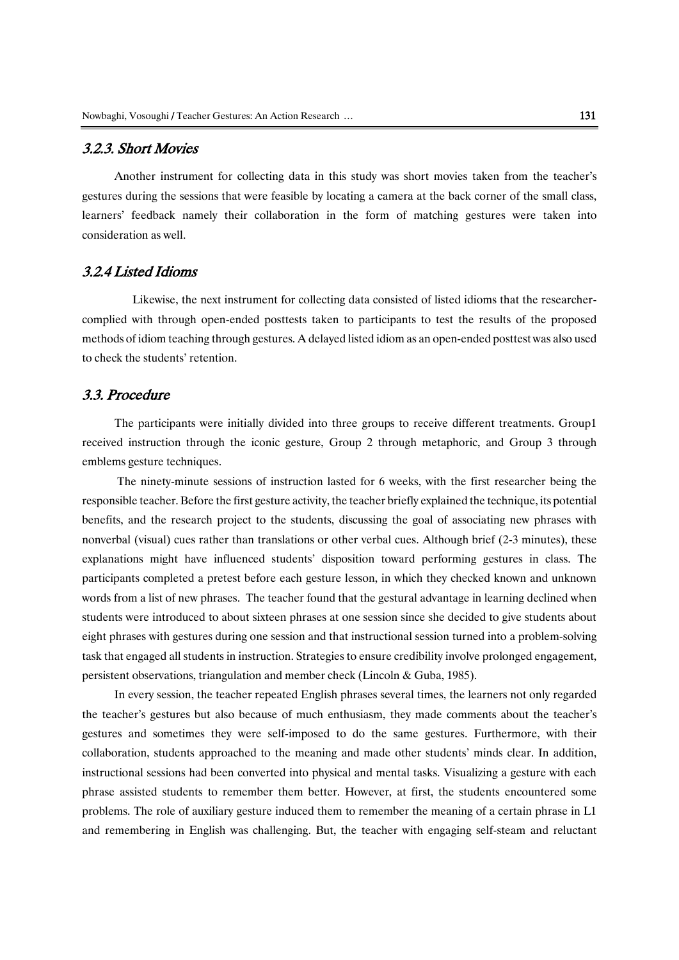### 3.2.3. Short Movies

Another instrument for collecting data in this study was short movies taken from the teacher's gestures during the sessions that were feasible by locating a camera at the back corner of the small class, learners' feedback namely their collaboration in the form of matching gestures were taken into consideration as well.

### 3.2.4 Listed Idioms

 Likewise, the next instrument for collecting data consisted of listed idioms that the researchercomplied with through open-ended posttests taken to participants to test the results of the proposed methods of idiom teaching through gestures. A delayed listed idiom as an open-ended posttest was also used to check the students' retention.

### 3.3. Procedure

The participants were initially divided into three groups to receive different treatments. Group1 received instruction through the iconic gesture, Group 2 through metaphoric, and Group 3 through emblems gesture techniques.

The ninety-minute sessions of instruction lasted for 6 weeks, with the first researcher being the responsible teacher.Before the first gesture activity, the teacher briefly explained the technique, its potential benefits, and the research project to the students, discussing the goal of associating new phrases with nonverbal (visual) cues rather than translations or other verbal cues. Although brief (2-3 minutes), these explanations might have influenced students' disposition toward performing gestures in class. The participants completed a pretest before each gesture lesson, in which they checked known and unknown words from a list of new phrases. The teacher found that the gestural advantage in learning declined when students were introduced to about sixteen phrases at one session since she decided to give students about eight phrases with gestures during one session and that instructional session turned into a problem-solving task that engaged all students in instruction. Strategies to ensure credibility involve prolonged engagement, persistent observations, triangulation and member check (Lincoln & Guba, 1985).

In every session, the teacher repeated English phrases several times, the learners not only regarded the teacher's gestures but also because of much enthusiasm, they made comments about the teacher's gestures and sometimes they were self-imposed to do the same gestures. Furthermore, with their collaboration, students approached to the meaning and made other students' minds clear. In addition, instructional sessions had been converted into physical and mental tasks. Visualizing a gesture with each phrase assisted students to remember them better. However, at first, the students encountered some problems. The role of auxiliary gesture induced them to remember the meaning of a certain phrase in L1 and remembering in English was challenging. But, the teacher with engaging self-steam and reluctant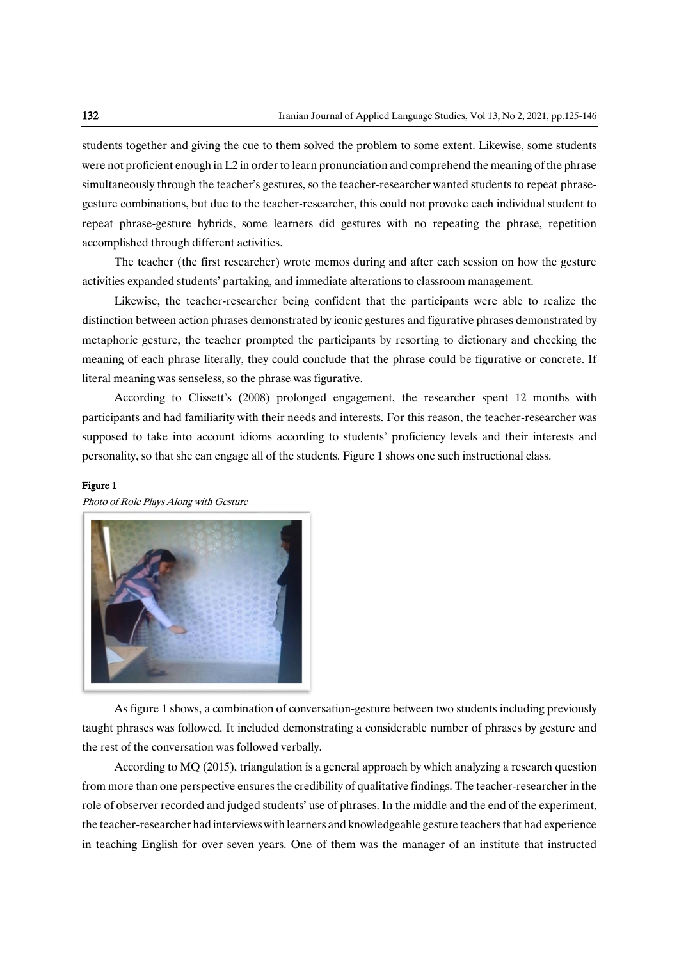students together and giving the cue to them solved the problem to some extent. Likewise, some students were not proficient enough in L2 in order to learn pronunciation and comprehend the meaning of the phrase simultaneously through the teacher's gestures, so the teacher-researcher wanted students to repeat phrasegesture combinations, but due to the teacher-researcher, this could not provoke each individual student to repeat phrase-gesture hybrids, some learners did gestures with no repeating the phrase, repetition accomplished through different activities.

The teacher (the first researcher) wrote memos during and after each session on how the gesture activities expanded students' partaking, and immediate alterations to classroom management.

Likewise, the teacher-researcher being confident that the participants were able to realize the distinction between action phrases demonstrated by iconic gestures and figurative phrases demonstrated by metaphoric gesture, the teacher prompted the participants by resorting to dictionary and checking the meaning of each phrase literally, they could conclude that the phrase could be figurative or concrete. If literal meaning was senseless, so the phrase was figurative.

According to Clissett's (2008) prolonged engagement, the researcher spent 12 months with participants and had familiarity with their needs and interests. For this reason, the teacher-researcher was supposed to take into account idioms according to students' proficiency levels and their interests and personality, so that she can engage all of the students. Figure 1 shows one such instructional class.

#### Figure 1

Photo of Role Plays Along with Gesture



As figure 1 shows, a combination of conversation-gesture between two students including previously taught phrases was followed. It included demonstrating a considerable number of phrases by gesture and the rest of the conversation was followed verbally.

According to MQ (2015), triangulation is a general approach by which analyzing a research question from more than one perspective ensures the credibility of qualitative findings. The teacher-researcher in the role of observer recorded and judged students' use of phrases. In the middle and the end of the experiment, the teacher-researcher had interviews with learners and knowledgeable gesture teachers that had experience in teaching English for over seven years. One of them was the manager of an institute that instructed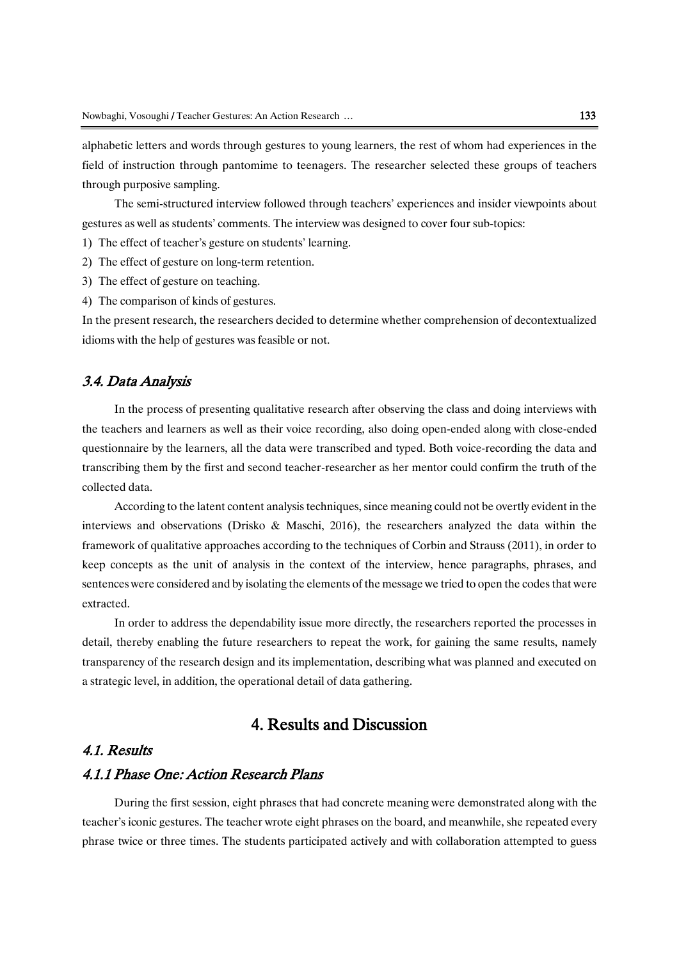alphabetic letters and words through gestures to young learners, the rest of whom had experiences in the field of instruction through pantomime to teenagers. The researcher selected these groups of teachers through purposive sampling.

The semi-structured interview followed through teachers' experiences and insider viewpoints about gestures as well as students' comments. The interview was designed to cover four sub-topics:

1) The effect of teacher's gesture on students' learning.

2) The effect of gesture on long-term retention.

3) The effect of gesture on teaching.

4) The comparison of kinds of gestures.

In the present research, the researchers decided to determine whether comprehension of decontextualized idioms with the help of gestures was feasible or not.

### 3.4. Data Analysis

In the process of presenting qualitative research after observing the class and doing interviews with the teachers and learners as well as their voice recording, also doing open-ended along with close-ended questionnaire by the learners, all the data were transcribed and typed. Both voice-recording the data and transcribing them by the first and second teacher-researcher as her mentor could confirm the truth of the collected data.

According to the latent content analysis techniques, since meaning could not be overtly evident in the interviews and observations (Drisko & Maschi, 2016), the researchers analyzed the data within the framework of qualitative approaches according to the techniques of Corbin and Strauss (2011), in order to keep concepts as the unit of analysis in the context of the interview, hence paragraphs, phrases, and sentences were considered and by isolating the elements of the message we tried to open the codes that were extracted.

In order to address the dependability issue more directly, the researchers reported the processes in detail, thereby enabling the future researchers to repeat the work, for gaining the same results, namely transparency of the research design and its implementation, describing what was planned and executed on a strategic level, in addition, the operational detail of data gathering.

# 4. Results and Discussion

### 4.1. Results

### 4.1.1 Phase One: Action Research Plans

During the first session, eight phrases that had concrete meaning were demonstrated along with the teacher's iconic gestures. The teacher wrote eight phrases on the board, and meanwhile, she repeated every phrase twice or three times. The students participated actively and with collaboration attempted to guess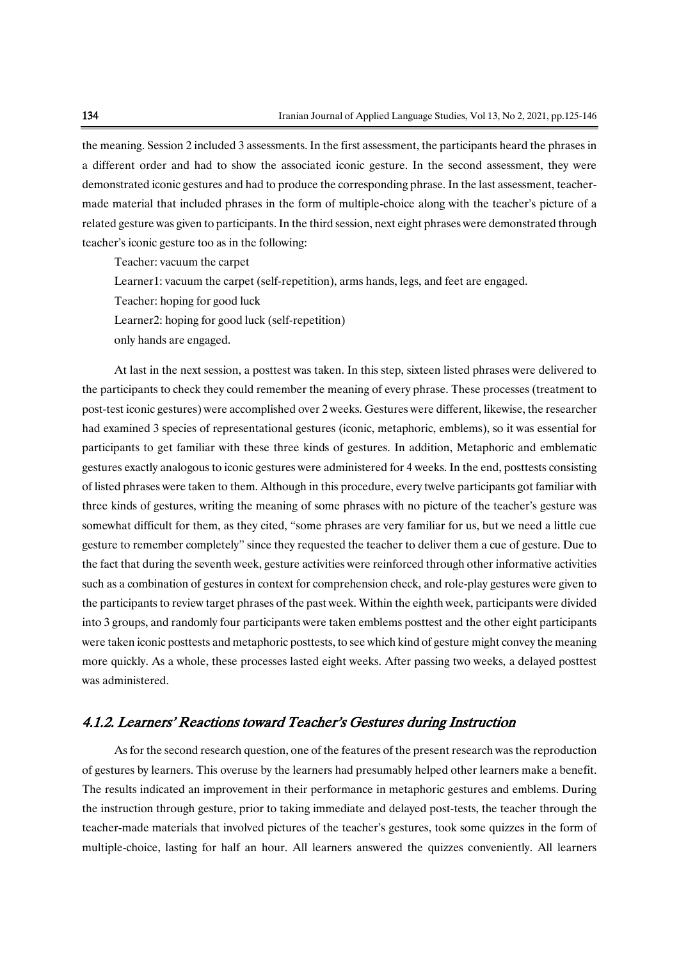the meaning. Session 2 included 3 assessments. In the first assessment, the participants heard the phrases in a different order and had to show the associated iconic gesture. In the second assessment, they were demonstrated iconic gestures and had to produce the corresponding phrase. In the last assessment, teachermade material that included phrases in the form of multiple-choice along with the teacher's picture of a related gesture was given to participants. In the third session, next eight phrases were demonstrated through teacher's iconic gesture too as in the following:

Teacher: vacuum the carpet

Learner1: vacuum the carpet (self-repetition), arms hands, legs, and feet are engaged.

Teacher: hoping for good luck

Learner2: hoping for good luck (self-repetition)

only hands are engaged.

At last in the next session, a posttest was taken. In this step, sixteen listed phrases were delivered to the participants to check they could remember the meaning of every phrase. These processes (treatment to post-test iconic gestures) were accomplished over 2 weeks. Gestures were different, likewise, the researcher had examined 3 species of representational gestures (iconic, metaphoric, emblems), so it was essential for participants to get familiar with these three kinds of gestures. In addition, Metaphoric and emblematic gestures exactly analogous to iconic gestures were administered for 4 weeks. In the end, posttests consisting of listed phrases were taken to them. Although in this procedure, every twelve participants got familiar with three kinds of gestures, writing the meaning of some phrases with no picture of the teacher's gesture was somewhat difficult for them, as they cited, "some phrases are very familiar for us, but we need a little cue gesture to remember completely" since they requested the teacher to deliver them a cue of gesture. Due to the fact that during the seventh week, gesture activities were reinforced through other informative activities such as a combination of gestures in context for comprehension check, and role-play gestures were given to the participants to review target phrases of the past week. Within the eighth week, participants were divided into 3 groups, and randomly four participants were taken emblems posttest and the other eight participants were taken iconic posttests and metaphoric posttests, to see which kind of gesture might convey the meaning more quickly. As a whole, these processes lasted eight weeks. After passing two weeks, a delayed posttest was administered.

### 4.1.2. Learners' Reactions toward Teacher's Gestures during Instruction

As for the second research question, one of the features of the present research was the reproduction of gestures by learners. This overuse by the learners had presumably helped other learners make a benefit. The results indicated an improvement in their performance in metaphoric gestures and emblems. During the instruction through gesture, prior to taking immediate and delayed post-tests, the teacher through the teacher-made materials that involved pictures of the teacher's gestures, took some quizzes in the form of multiple-choice, lasting for half an hour. All learners answered the quizzes conveniently. All learners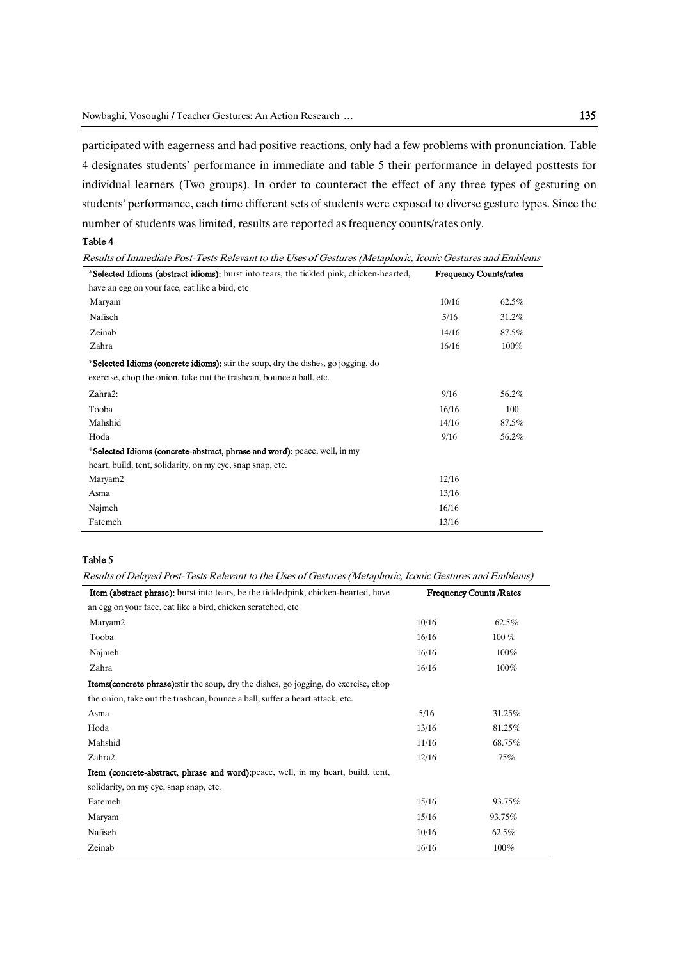participated with eagerness and had positive reactions, only had a few problems with pronunciation. Table 4 designates students' performance in immediate and table 5 their performance in delayed posttests for individual learners (Two groups). In order to counteract the effect of any three types of gesturing on students' performance, each time different sets of students were exposed to diverse gesture types. Since the number of students was limited, results are reported as frequency counts/rates only.

#### Table 4

Results of Immediate Post-Tests Relevant to the Uses of Gestures (Metaphoric, Iconic Gestures and Emblems

| *Selected Idioms (abstract idioms): burst into tears, the tickled pink, chicken-hearted,  | <b>Frequency Counts/rates</b> |         |
|-------------------------------------------------------------------------------------------|-------------------------------|---------|
| have an egg on your face, eat like a bird, etc                                            |                               |         |
| Maryam                                                                                    | 10/16                         | 62.5%   |
| Nafiseh                                                                                   | 5/16                          | 31.2%   |
| Zeinab                                                                                    | 14/16                         | 87.5%   |
| Zahra                                                                                     | 16/16                         | $100\%$ |
| * <b>Selected Idioms (concrete idioms):</b> stir the soup, dry the dishes, go jogging, do |                               |         |
| exercise, chop the onion, take out the trashcan, bounce a ball, etc.                      |                               |         |
| Zahra2:                                                                                   | 9/16                          | 56.2%   |
| Tooba                                                                                     | 16/16                         | 100     |
| Mahshid                                                                                   | 14/16                         | 87.5%   |
| Hoda                                                                                      | 9/16                          | 56.2%   |
| *Selected Idioms (concrete-abstract, phrase and word): peace, well, in my                 |                               |         |
| heart, build, tent, solidarity, on my eye, snap snap, etc.                                |                               |         |
| Maryam2                                                                                   | 12/16                         |         |
| Asma                                                                                      | 13/16                         |         |
| Najmeh                                                                                    | 16/16                         |         |
| Fatemeh                                                                                   | 13/16                         |         |

#### Table 5

Ĩ.

Results of Delayed Post-Tests Relevant to the Uses of Gestures (Metaphoric, Iconic Gestures and Emblems)

| <b>Item (abstract phrase):</b> burst into tears, be the tickledpink, chicken-hearted, have<br><b>Frequency Counts/Rates</b> |       |         |
|-----------------------------------------------------------------------------------------------------------------------------|-------|---------|
| an egg on your face, eat like a bird, chicken scratched, etc                                                                |       |         |
| Maryam2                                                                                                                     | 10/16 | 62.5%   |
| Tooba                                                                                                                       | 16/16 | $100\%$ |
| Najmeh                                                                                                                      | 16/16 | 100%    |
| Zahra                                                                                                                       | 16/16 | 100%    |
| <b>Items (concrete phrase)</b> : stir the soup, dry the dishes, go jogging, do exercise, chop                               |       |         |
| the onion, take out the trashcan, bounce a ball, suffer a heart attack, etc.                                                |       |         |
| Asma                                                                                                                        | 5/16  | 31.25%  |
| Hoda                                                                                                                        | 13/16 | 81.25%  |
| Mahshid                                                                                                                     | 11/16 | 68.75%  |
| Zahra2                                                                                                                      | 12/16 | 75%     |
| Item (concrete-abstract, phrase and word): peace, well, in my heart, build, tent,                                           |       |         |
| solidarity, on my eye, snap snap, etc.                                                                                      |       |         |
| Fatemeh                                                                                                                     | 15/16 | 93.75%  |
| Maryam                                                                                                                      | 15/16 | 93.75%  |
| Nafiseh                                                                                                                     | 10/16 | 62.5%   |
| Zeinab                                                                                                                      | 16/16 | 100%    |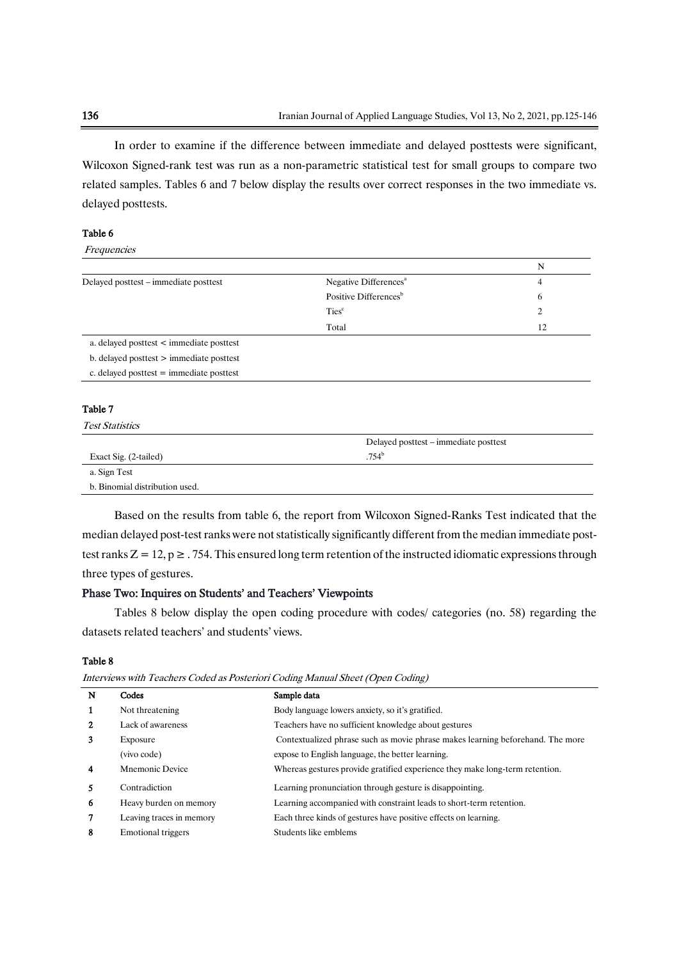In order to examine if the difference between immediate and delayed posttests were significant, Wilcoxon Signed-rank test was run as a non-parametric statistical test for small groups to compare two related samples. Tables 6 and 7 below display the results over correct responses in the two immediate vs. delayed posttests.

#### Table 6

Frequencies

|                                              |                                   | N  |
|----------------------------------------------|-----------------------------------|----|
| Delayed posttest – immediate posttest        | Negative Differences <sup>a</sup> | 4  |
|                                              | Positive Differences <sup>b</sup> | 6  |
|                                              | Ties <sup>c</sup>                 |    |
|                                              | Total                             | 12 |
| a. delayed posttest < immediate posttest     |                                   |    |
| $b.$ delayed posttest $>$ immediate posttest |                                   |    |
| c. delayed posttest $=$ immediate posttest   |                                   |    |

#### Table 7

Test Statistics

|                                | Delayed posttest – immediate posttest |
|--------------------------------|---------------------------------------|
| Exact Sig. (2-tailed)          | $.754^{\circ}$                        |
| a. Sign Test                   |                                       |
| b. Binomial distribution used. |                                       |

Based on the results from table 6, the report from Wilcoxon Signed-Ranks Test indicated that the median delayed post-test ranks were not statistically significantly different from the median immediate posttest ranks  $Z = 12$ ,  $p \ge 0.754$ . This ensured long term retention of the instructed idiomatic expressions through three types of gestures.

### Phase Two: Inquires on Students' and Teachers' Viewpoints

Tables 8 below display the open coding procedure with codes/ categories (no. 58) regarding the datasets related teachers' and students' views.

#### Table 8

| Interviews with Teachers Coded as Posteriori Coding Manual Sheet (Open Coding) |
|--------------------------------------------------------------------------------|
|--------------------------------------------------------------------------------|

| N                       | Codes                    | Sample data                                                                    |
|-------------------------|--------------------------|--------------------------------------------------------------------------------|
| 1                       | Not threatening          | Body language lowers anxiety, so it's gratified.                               |
| $\mathbf{2}$            | Lack of awareness        | Teachers have no sufficient knowledge about gestures                           |
| 3                       | Exposure                 | Contextualized phrase such as movie phrase makes learning beforehand. The more |
|                         | (vivo code)              | expose to English language, the better learning.                               |
| $\overline{\mathbf{4}}$ | Mnemonic Device          | Whereas gestures provide gratified experience they make long-term retention.   |
| 5                       | Contradiction            | Learning pronunciation through gesture is disappointing.                       |
| 6                       | Heavy burden on memory   | Learning accompanied with constraint leads to short-term retention.            |
| 7                       | Leaving traces in memory | Each three kinds of gestures have positive effects on learning.                |
| 8                       | Emotional triggers       | Students like emblems                                                          |
|                         |                          |                                                                                |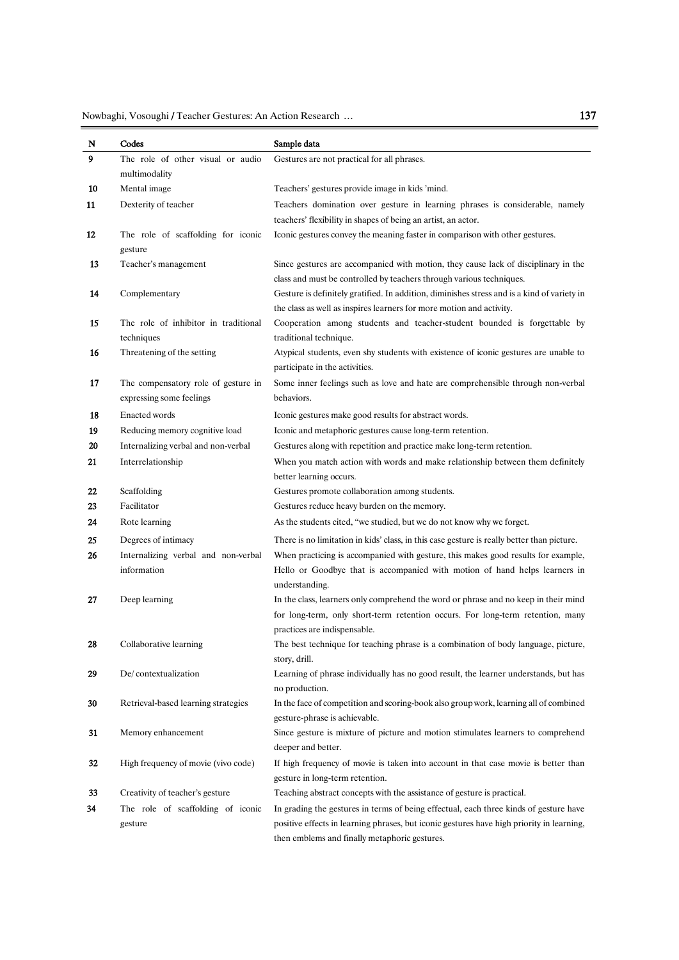Nowbaghi, Vosoughi / Teacher Gestures: An Action Research … <sup>137</sup>

| N  | Codes                                              | Sample data                                                                                                                                                |
|----|----------------------------------------------------|------------------------------------------------------------------------------------------------------------------------------------------------------------|
| 9  | The role of other visual or audio                  | Gestures are not practical for all phrases.                                                                                                                |
|    | multimodality                                      |                                                                                                                                                            |
| 10 | Mental image                                       | Teachers' gestures provide image in kids 'mind.                                                                                                            |
| 11 | Dexterity of teacher                               | Teachers domination over gesture in learning phrases is considerable, namely                                                                               |
|    |                                                    | teachers' flexibility in shapes of being an artist, an actor.                                                                                              |
| 12 | The role of scaffolding for iconic                 | Iconic gestures convey the meaning faster in comparison with other gestures.                                                                               |
|    | gesture                                            |                                                                                                                                                            |
| 13 | Teacher's management                               | Since gestures are accompanied with motion, they cause lack of disciplinary in the<br>class and must be controlled by teachers through various techniques. |
| 14 | Complementary                                      | Gesture is definitely gratified. In addition, diminishes stress and is a kind of variety in                                                                |
|    |                                                    | the class as well as inspires learners for more motion and activity.                                                                                       |
| 15 | The role of inhibitor in traditional<br>techniques | Cooperation among students and teacher-student bounded is forgettable by<br>traditional technique.                                                         |
| 16 | Threatening of the setting                         | Atypical students, even shy students with existence of iconic gestures are unable to                                                                       |
|    |                                                    | participate in the activities.                                                                                                                             |
| 17 | The compensatory role of gesture in                | Some inner feelings such as love and hate are comprehensible through non-verbal                                                                            |
|    | expressing some feelings                           | behaviors.                                                                                                                                                 |
| 18 | <b>Enacted words</b>                               | Iconic gestures make good results for abstract words.                                                                                                      |
| 19 | Reducing memory cognitive load                     | Iconic and metaphoric gestures cause long-term retention.                                                                                                  |
| 20 | Internalizing verbal and non-verbal                | Gestures along with repetition and practice make long-term retention.                                                                                      |
| 21 | Interrelationship                                  | When you match action with words and make relationship between them definitely<br>better learning occurs.                                                  |
| 22 | Scaffolding                                        | Gestures promote collaboration among students.                                                                                                             |
| 23 | Facilitator                                        | Gestures reduce heavy burden on the memory.                                                                                                                |
| 24 | Rote learning                                      | As the students cited, "we studied, but we do not know why we forget.                                                                                      |
| 25 | Degrees of intimacy                                | There is no limitation in kids' class, in this case gesture is really better than picture.                                                                 |
| 26 | Internalizing verbal and non-verbal                | When practicing is accompanied with gesture, this makes good results for example,                                                                          |
|    | information                                        | Hello or Goodbye that is accompanied with motion of hand helps learners in<br>understanding.                                                               |
| 27 | Deep learning                                      | In the class, learners only comprehend the word or phrase and no keep in their mind                                                                        |
|    |                                                    | for long-term, only short-term retention occurs. For long-term retention, many                                                                             |
|    |                                                    | practices are indispensable.                                                                                                                               |
| 28 | Collaborative learning                             | The best technique for teaching phrase is a combination of body language, picture,                                                                         |
|    |                                                    | story, drill.                                                                                                                                              |
| 29 | De/contextualization                               | Learning of phrase individually has no good result, the learner understands, but has<br>no production.                                                     |
| 30 | Retrieval-based learning strategies                | In the face of competition and scoring-book also group work, learning all of combined                                                                      |
| 31 | Memory enhancement                                 | gesture-phrase is achievable.<br>Since gesture is mixture of picture and motion stimulates learners to comprehend                                          |
|    |                                                    | deeper and better.                                                                                                                                         |
| 32 | High frequency of movie (vivo code)                | If high frequency of movie is taken into account in that case movie is better than                                                                         |
|    |                                                    | gesture in long-term retention.                                                                                                                            |
| 33 | Creativity of teacher's gesture                    | Teaching abstract concepts with the assistance of gesture is practical.                                                                                    |
| 34 | The role of scaffolding of iconic                  | In grading the gestures in terms of being effectual, each three kinds of gesture have                                                                      |
|    | gesture                                            | positive effects in learning phrases, but iconic gestures have high priority in learning,<br>then emblems and finally metaphoric gestures.                 |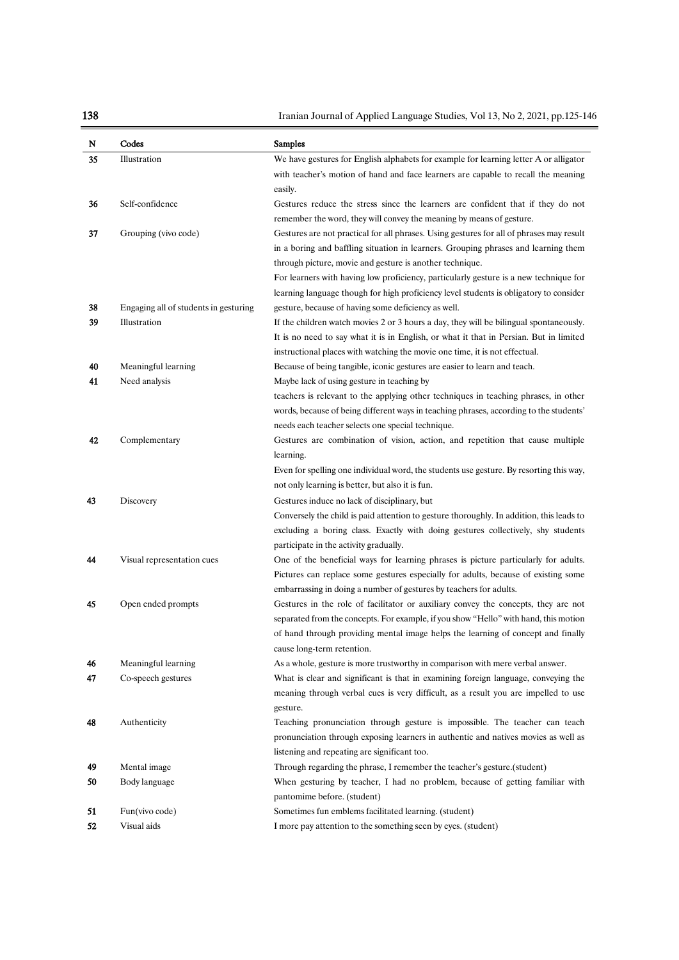138 Iranian Journal of Applied Language Studies, Vol 13, No 2, 2021, pp.125-146

| N  | Codes                                 | <b>Samples</b>                                                                                                                                                                   |
|----|---------------------------------------|----------------------------------------------------------------------------------------------------------------------------------------------------------------------------------|
| 35 | Illustration                          | We have gestures for English alphabets for example for learning letter A or alligator                                                                                            |
|    |                                       | with teacher's motion of hand and face learners are capable to recall the meaning                                                                                                |
|    |                                       | easily.                                                                                                                                                                          |
| 36 | Self-confidence                       | Gestures reduce the stress since the learners are confident that if they do not                                                                                                  |
|    |                                       | remember the word, they will convey the meaning by means of gesture.                                                                                                             |
| 37 | Grouping (vivo code)                  | Gestures are not practical for all phrases. Using gestures for all of phrases may result                                                                                         |
|    |                                       | in a boring and baffling situation in learners. Grouping phrases and learning them                                                                                               |
|    |                                       | through picture, movie and gesture is another technique.                                                                                                                         |
|    |                                       | For learners with having low proficiency, particularly gesture is a new technique for                                                                                            |
|    |                                       | learning language though for high proficiency level students is obligatory to consider                                                                                           |
| 38 | Engaging all of students in gesturing | gesture, because of having some deficiency as well.                                                                                                                              |
| 39 | Illustration                          | If the children watch movies 2 or 3 hours a day, they will be bilingual spontaneously.<br>It is no need to say what it is in English, or what it that in Persian. But in limited |
|    |                                       | instructional places with watching the movie one time, it is not effectual.                                                                                                      |
| 40 | Meaningful learning                   | Because of being tangible, iconic gestures are easier to learn and teach.                                                                                                        |
| 41 | Need analysis                         | Maybe lack of using gesture in teaching by                                                                                                                                       |
|    |                                       | teachers is relevant to the applying other techniques in teaching phrases, in other                                                                                              |
|    |                                       | words, because of being different ways in teaching phrases, according to the students'                                                                                           |
|    |                                       | needs each teacher selects one special technique.                                                                                                                                |
| 42 | Complementary                         | Gestures are combination of vision, action, and repetition that cause multiple                                                                                                   |
|    |                                       | learning.                                                                                                                                                                        |
|    |                                       | Even for spelling one individual word, the students use gesture. By resorting this way,                                                                                          |
|    |                                       | not only learning is better, but also it is fun.                                                                                                                                 |
| 43 | Discovery                             | Gestures induce no lack of disciplinary, but                                                                                                                                     |
|    |                                       | Conversely the child is paid attention to gesture thoroughly. In addition, this leads to                                                                                         |
|    |                                       | excluding a boring class. Exactly with doing gestures collectively, shy students                                                                                                 |
|    |                                       | participate in the activity gradually.                                                                                                                                           |
| 44 | Visual representation cues            | One of the beneficial ways for learning phrases is picture particularly for adults.                                                                                              |
|    |                                       | Pictures can replace some gestures especially for adults, because of existing some                                                                                               |
| 45 | Open ended prompts                    | embarrassing in doing a number of gestures by teachers for adults.<br>Gestures in the role of facilitator or auxiliary convey the concepts, they are not                         |
|    |                                       | separated from the concepts. For example, if you show "Hello" with hand, this motion                                                                                             |
|    |                                       | of hand through providing mental image helps the learning of concept and finally                                                                                                 |
|    |                                       | cause long-term retention.                                                                                                                                                       |
| 46 | Meaningful learning                   | As a whole, gesture is more trustworthy in comparison with mere verbal answer.                                                                                                   |
| 47 | Co-speech gestures                    | What is clear and significant is that in examining foreign language, conveying the                                                                                               |
|    |                                       | meaning through verbal cues is very difficult, as a result you are impelled to use                                                                                               |
|    |                                       | gesture.                                                                                                                                                                         |
| 48 | Authenticity                          | Teaching pronunciation through gesture is impossible. The teacher can teach                                                                                                      |
|    |                                       | pronunciation through exposing learners in authentic and natives movies as well as                                                                                               |
|    |                                       | listening and repeating are significant too.                                                                                                                                     |
| 49 | Mental image                          | Through regarding the phrase, I remember the teacher's gesture.(student)                                                                                                         |
| 50 | Body language                         | When gesturing by teacher, I had no problem, because of getting familiar with                                                                                                    |
|    |                                       | pantomime before. (student)                                                                                                                                                      |
| 51 | Fun(vivo code)                        | Sometimes fun emblems facilitated learning. (student)                                                                                                                            |
| 52 | Visual aids                           | I more pay attention to the something seen by eyes. (student)                                                                                                                    |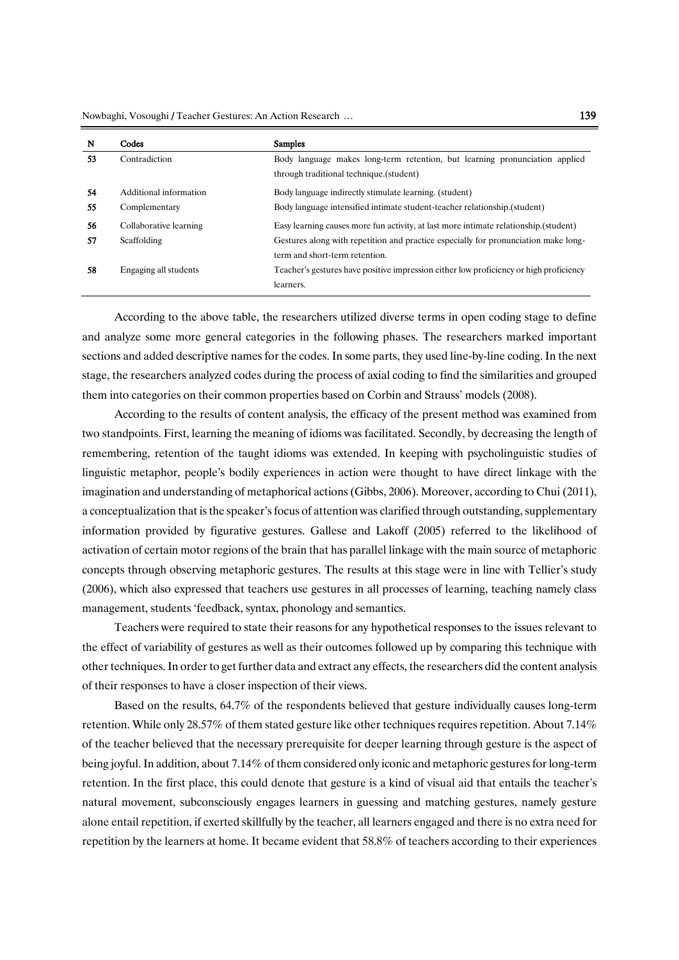Nowbaghi, Vosoughi / Teacher Gestures: An Action Research … <sup>139</sup>

| N  | Codes                  | <b>Samples</b>                                                                         |
|----|------------------------|----------------------------------------------------------------------------------------|
| 53 | Contradiction          | Body language makes long-term retention, but learning pronunciation applied            |
|    |                        | through traditional technique.(student)                                                |
| 54 | Additional information | Body language indirectly stimulate learning. (student)                                 |
| 55 | Complementary          | Body language intensified intimate student-teacher relationship. (student)             |
| 56 | Collaborative learning | Easy learning causes more fun activity, at last more intimate relationship. (student)  |
| 57 | Scaffolding            | Gestures along with repetition and practice especially for pronunciation make long-    |
|    |                        | term and short-term retention.                                                         |
| 58 | Engaging all students  | Teacher's gestures have positive impression either low proficiency or high proficiency |
|    |                        | learners.                                                                              |

According to the above table, the researchers utilized diverse terms in open coding stage to define and analyze some more general categories in the following phases. The researchers marked important sections and added descriptive names for the codes. In some parts, they used line-by-line coding. In the next stage, the researchers analyzed codes during the process of axial coding to find the similarities and grouped them into categories on their common properties based on Corbin and Strauss' models (2008).

According to the results of content analysis, the efficacy of the present method was examined from two standpoints. First, learning the meaning of idioms was facilitated. Secondly, by decreasing the length of remembering, retention of the taught idioms was extended. In keeping with psycholinguistic studies of linguistic metaphor, people's bodily experiences in action were thought to have direct linkage with the imagination and understanding of metaphorical actions (Gibbs, 2006). Moreover, according to Chui (2011), a conceptualization that is the speaker's focus of attention was clarified through outstanding, supplementary information provided by figurative gestures. Gallese and Lakoff (2005) referred to the likelihood of activation of certain motor regions of the brain that has parallel linkage with the main source of metaphoric concepts through observing metaphoric gestures. The results at this stage were in line with Tellier's study (2006), which also expressed that teachers use gestures in all processes of learning, teaching namely class management, students 'feedback, syntax, phonology and semantics.

Teachers were required to state their reasons for any hypothetical responses to the issues relevant to the effect of variability of gestures as well as their outcomes followed up by comparing this technique with other techniques. In order to get further data and extract any effects, the researchers did the content analysis of their responses to have a closer inspection of their views.

Based on the results, 64.7% of the respondents believed that gesture individually causes long-term retention. While only 28.57% of them stated gesture like other techniques requires repetition. About 7.14% of the teacher believed that the necessary prerequisite for deeper learning through gesture is the aspect of being joyful. In addition, about 7.14% of them considered only iconic and metaphoric gestures for long-term retention. In the first place, this could denote that gesture is a kind of visual aid that entails the teacher's natural movement, subconsciously engages learners in guessing and matching gestures, namely gesture alone entail repetition, if exerted skillfully by the teacher, all learners engaged and there is no extra need for repetition by the learners at home. It became evident that 58.8% of teachers according to their experiences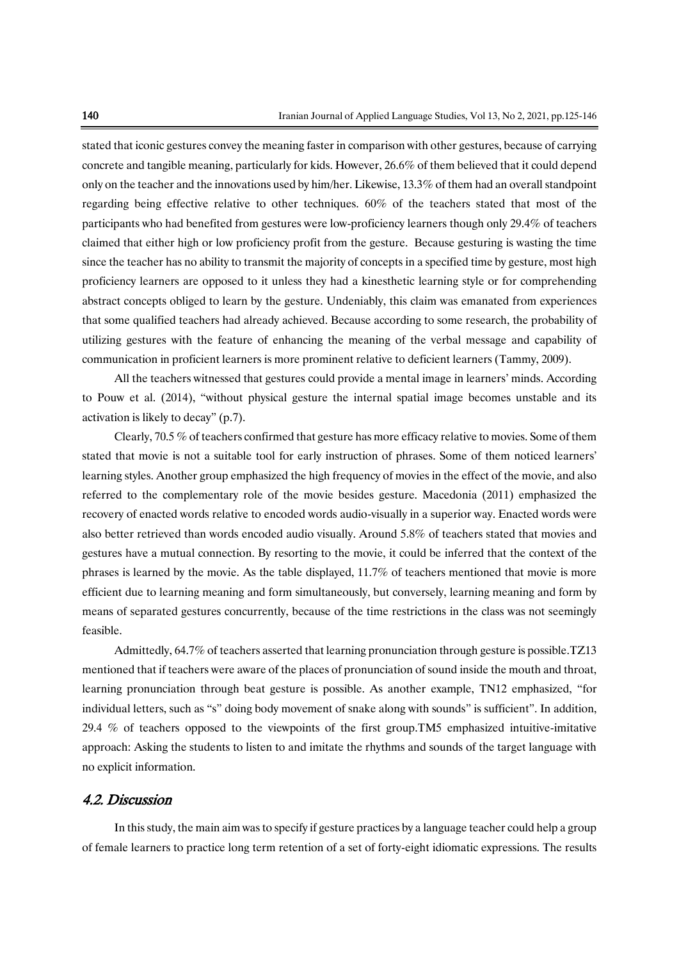stated that iconic gestures convey the meaning faster in comparison with other gestures, because of carrying concrete and tangible meaning, particularly for kids. However, 26.6% of them believed that it could depend only on the teacher and the innovations used by him/her. Likewise, 13.3% of them had an overall standpoint regarding being effective relative to other techniques. 60% of the teachers stated that most of the participants who had benefited from gestures were low-proficiency learners though only 29.4% of teachers claimed that either high or low proficiency profit from the gesture. Because gesturing is wasting the time since the teacher has no ability to transmit the majority of concepts in a specified time by gesture, most high proficiency learners are opposed to it unless they had a kinesthetic learning style or for comprehending abstract concepts obliged to learn by the gesture. Undeniably, this claim was emanated from experiences that some qualified teachers had already achieved. Because according to some research, the probability of utilizing gestures with the feature of enhancing the meaning of the verbal message and capability of communication in proficient learners is more prominent relative to deficient learners (Tammy, 2009).

All the teachers witnessed that gestures could provide a mental image in learners' minds. According to Pouw et al. (2014), "without physical gesture the internal spatial image becomes unstable and its activation is likely to decay" (p.7).

Clearly, 70.5 % of teachers confirmed that gesture has more efficacy relative to movies. Some of them stated that movie is not a suitable tool for early instruction of phrases. Some of them noticed learners' learning styles. Another group emphasized the high frequency of movies in the effect of the movie, and also referred to the complementary role of the movie besides gesture. Macedonia (2011) emphasized the recovery of enacted words relative to encoded words audio-visually in a superior way. Enacted words were also better retrieved than words encoded audio visually. Around 5.8% of teachers stated that movies and gestures have a mutual connection. By resorting to the movie, it could be inferred that the context of the phrases is learned by the movie. As the table displayed, 11.7% of teachers mentioned that movie is more efficient due to learning meaning and form simultaneously, but conversely, learning meaning and form by means of separated gestures concurrently, because of the time restrictions in the class was not seemingly feasible.

Admittedly, 64.7% of teachers asserted that learning pronunciation through gesture is possible.TZ13 mentioned that if teachers were aware of the places of pronunciation of sound inside the mouth and throat, learning pronunciation through beat gesture is possible. As another example, TN12 emphasized, "for individual letters, such as "s" doing body movement of snake along with sounds" is sufficient". In addition, 29.4 % of teachers opposed to the viewpoints of the first group.TM5 emphasized intuitive-imitative approach: Asking the students to listen to and imitate the rhythms and sounds of the target language with no explicit information.

### 4.2. Discussion

In this study, the main aim was to specify if gesture practices by a language teacher could help a group of female learners to practice long term retention of a set of forty-eight idiomatic expressions. The results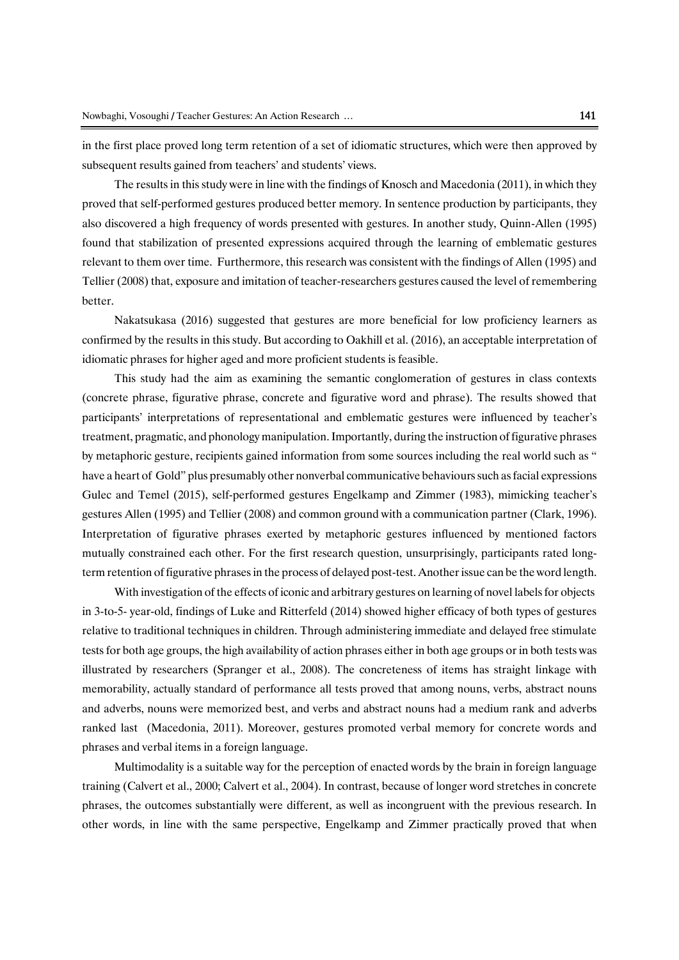in the first place proved long term retention of a set of idiomatic structures, which were then approved by subsequent results gained from teachers' and students' views.

The results in this study were in line with the findings of Knosch and Macedonia (2011), in which they proved that self-performed gestures produced better memory. In sentence production by participants, they also discovered a high frequency of words presented with gestures. In another study, Quinn-Allen (1995) found that stabilization of presented expressions acquired through the learning of emblematic gestures relevant to them over time. Furthermore, this research was consistent with the findings of Allen (1995) and Tellier (2008) that, exposure and imitation of teacher-researchers gestures caused the level of remembering better.

Nakatsukasa (2016) suggested that gestures are more beneficial for low proficiency learners as confirmed by the results in this study. But according to Oakhill et al. (2016), an acceptable interpretation of idiomatic phrases for higher aged and more proficient students is feasible.

This study had the aim as examining the semantic conglomeration of gestures in class contexts (concrete phrase, figurative phrase, concrete and figurative word and phrase). The results showed that participants' interpretations of representational and emblematic gestures were influenced by teacher's treatment, pragmatic, and phonology manipulation. Importantly, during the instruction of figurative phrases by metaphoric gesture, recipients gained information from some sources including the real world such as " have a heart of Gold" plus presumably other nonverbal communicative behaviours such as facial expressions Gulec and Temel (2015), self-performed gestures Engelkamp and Zimmer (1983), mimicking teacher's gestures Allen (1995) and Tellier (2008) and common ground with a communication partner (Clark, 1996). Interpretation of figurative phrases exerted by metaphoric gestures influenced by mentioned factors mutually constrained each other. For the first research question, unsurprisingly, participants rated longterm retention of figurative phrases in the process of delayed post-test. Another issue can be the word length.

With investigation of the effects of iconic and arbitrary gestures on learning of novel labels for objects in 3-to-5- year-old, findings of Luke and Ritterfeld (2014) showed higher efficacy of both types of gestures relative to traditional techniques in children. Through administering immediate and delayed free stimulate tests for both age groups, the high availability of action phrases either in both age groups or in both tests was illustrated by researchers (Spranger et al., 2008). The concreteness of items has straight linkage with memorability, actually standard of performance all tests proved that among nouns, verbs, abstract nouns and adverbs, nouns were memorized best, and verbs and abstract nouns had a medium rank and adverbs ranked last (Macedonia, 2011). Moreover, gestures promoted verbal memory for concrete words and phrases and verbal items in a foreign language.

Multimodality is a suitable way for the perception of enacted words by the brain in foreign language training (Calvert et al., 2000; Calvert et al., 2004). In contrast, because of longer word stretches in concrete phrases, the outcomes substantially were different, as well as incongruent with the previous research. In other words, in line with the same perspective, Engelkamp and Zimmer practically proved that when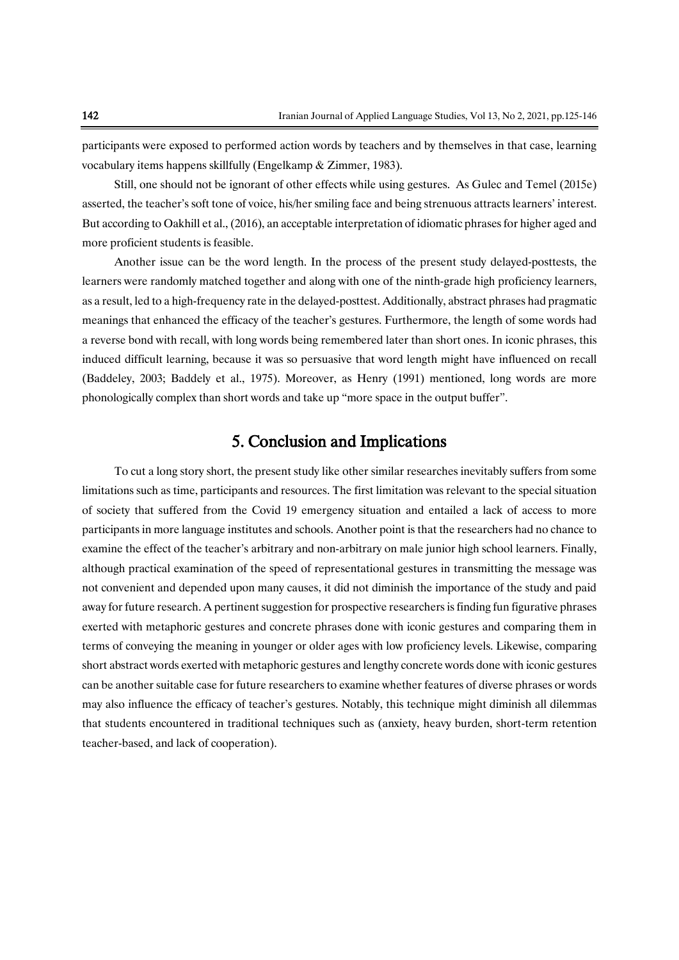participants were exposed to performed action words by teachers and by themselves in that case, learning vocabulary items happens skillfully (Engelkamp & Zimmer, 1983).

Still, one should not be ignorant of other effects while using gestures. As Gulec and Temel (2015e) asserted, the teacher's soft tone of voice, his/her smiling face and being strenuous attracts learners' interest. But according to Oakhill et al., (2016), an acceptable interpretation of idiomatic phrases for higher aged and more proficient students is feasible.

Another issue can be the word length. In the process of the present study delayed-posttests, the learners were randomly matched together and along with one of the ninth-grade high proficiency learners, as a result, led to a high-frequency rate in the delayed-posttest. Additionally, abstract phrases had pragmatic meanings that enhanced the efficacy of the teacher's gestures. Furthermore, the length of some words had a reverse bond with recall, with long words being remembered later than short ones. In iconic phrases, this induced difficult learning, because it was so persuasive that word length might have influenced on recall (Baddeley, 2003; Baddely et al., 1975). Moreover, as Henry (1991) mentioned, long words are more phonologically complex than short words and take up "more space in the output buffer".

# 5. Conclusion and Implications

To cut a long story short, the present study like other similar researches inevitably suffers from some limitations such as time, participants and resources. The first limitation was relevant to the special situation of society that suffered from the Covid 19 emergency situation and entailed a lack of access to more participants in more language institutes and schools. Another point is that the researchers had no chance to examine the effect of the teacher's arbitrary and non-arbitrary on male junior high school learners. Finally, although practical examination of the speed of representational gestures in transmitting the message was not convenient and depended upon many causes, it did not diminish the importance of the study and paid away for future research. A pertinent suggestion for prospective researchers is finding fun figurative phrases exerted with metaphoric gestures and concrete phrases done with iconic gestures and comparing them in terms of conveying the meaning in younger or older ages with low proficiency levels. Likewise, comparing short abstract words exerted with metaphoric gestures and lengthy concrete words done with iconic gestures can be another suitable case for future researchers to examine whether features of diverse phrases or words may also influence the efficacy of teacher's gestures. Notably, this technique might diminish all dilemmas that students encountered in traditional techniques such as (anxiety, heavy burden, short-term retention teacher-based, and lack of cooperation).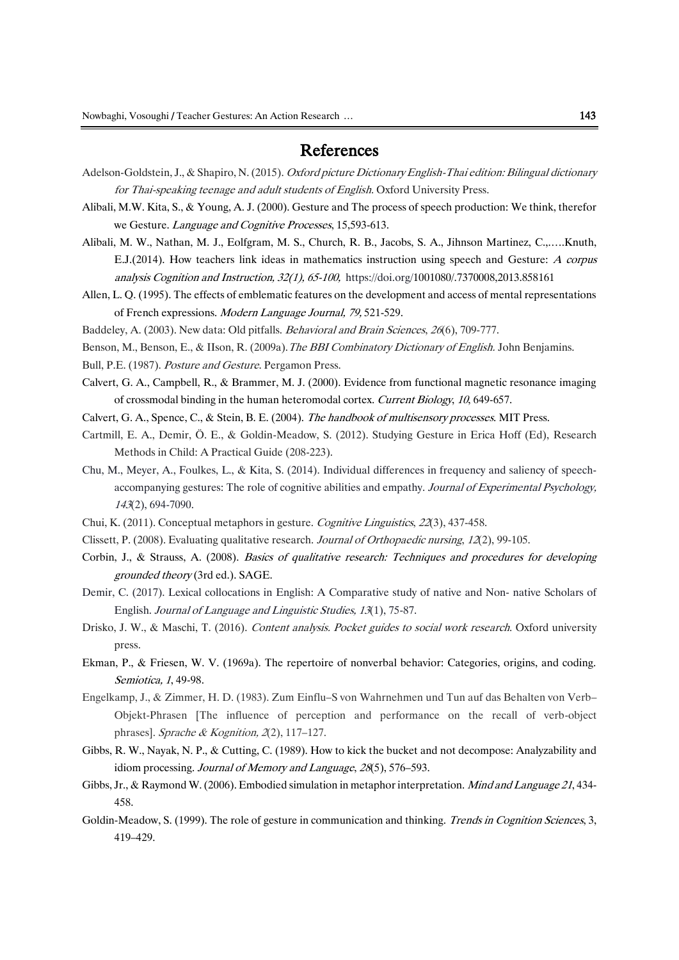# References

- Adelson-Goldstein, J., & Shapiro, N. (2015). Oxford picture Dictionary English-Thai edition: Bilingual dictionary for Thai-speaking teenage and adult students of English. Oxford University Press.
- Alibali, M.W. Kita, S., & Young, A. J. (2000). Gesture and The process of speech production: We think, therefor we Gesture. Language and Cognitive Processes, 15,593-613.
- Alibali, M. W., Nathan, M. J., Eolfgram, M. S., Church, R. B., Jacobs, S. A., Jihnson Martinez, C.,.….Knuth, E.J.(2014). How teachers link ideas in mathematics instruction using speech and Gesture: A corpus analysis Cognition and Instruction, 32(1), 65-100, [https://doi.org/1001080/.7370008,2013.858161](http://doi.org/1001080/.7370008,2013.858161)
- Allen, L. Q. (1995). The effects of emblematic features on the development and access of mental representations of French expressions. Modern Language Journal, 79, 521-529.
- Baddeley, A. (2003). New data: Old pitfalls. Behavioral and Brain Sciences, <sup>26</sup>(6), 709-777.
- Benson, M., Benson, E., & IIson, R. (2009a). The BBI Combinatory Dictionary of English. John Benjamins.
- Bull, P.E. (1987). Posture and Gesture. Pergamon Press.
- Calvert, G. A., Campbell, R., & Brammer, M. J. (2000). Evidence from functional magnetic resonance imaging of crossmodal binding in the human heteromodal cortex. Current Biology, 10, 649-657.
- Calvert, G. A., Spence, C., & Stein, B. E. (2004). The handbook of multisensory processes. MIT Press.
- Cartmill, E. A., Demir, Ö. E., & Goldin-Meadow, S. (2012). Studying Gesture in Erica Hoff (Ed), Research Methods in Child: A Practical Guide (208-223).
- Chu, M., Meyer, A., Foulkes, L., & Kita, S. (2014). Individual differences in frequency and saliency of speechaccompanying gestures: The role of cognitive abilities and empathy. Journal of Experimental Psychology, <sup>143</sup>(2), 694-7090.
- Chui, K. (2011). Conceptual metaphors in gesture. Cognitive Linguistics, <sup>22</sup>(3), 437-458.
- Clissett, P. (2008). Evaluating qualitative research. Journal of Orthopaedic nursing, <sup>12</sup>(2), 99-105.
- Corbin, J., & Strauss, A. (2008). Basics of qualitative research: Techniques and procedures for developing grounded theory (3rd ed.). SAGE.
- Demir, C. (2017). Lexical collocations in English: A Comparative study of native and Non- native Scholars of English. Journal of Language and Linguistic Studies, 13(1), 75-87.
- Drisko, J. W., & Maschi, T. (2016). Content analysis. Pocket guides to social work research. Oxford university press.
- Ekman, P., & Friesen, W. V. (1969a). The repertoire of nonverbal behavior: Categories, origins, and coding. Semiotica, 1, 49-98.
- Engelkamp, J., & Zimmer, H. D. (1983). Zum Einflu–S von Wahrnehmen und Tun auf das Behalten von Verb– Objekt-Phrasen [The influence of perception and performance on the recall of verb-object phrases]. Sprache & Kognition, 2(2), 117–127.
- Gibbs, R. W., Nayak, N. P., & Cutting, C. (1989). How to kick the bucket and not decompose: Analyzability and idiom processing. Journal of Memory and Language, 28(5), 576–593.
- Gibbs, Jr., & Raymond W. (2006). Embodied simulation in metaphor interpretation. *Mind and Language 21*, 434-458.
- Goldin-Meadow, S. (1999). The role of gesture in communication and thinking. Trends in Cognition Sciences, 3, 419–429.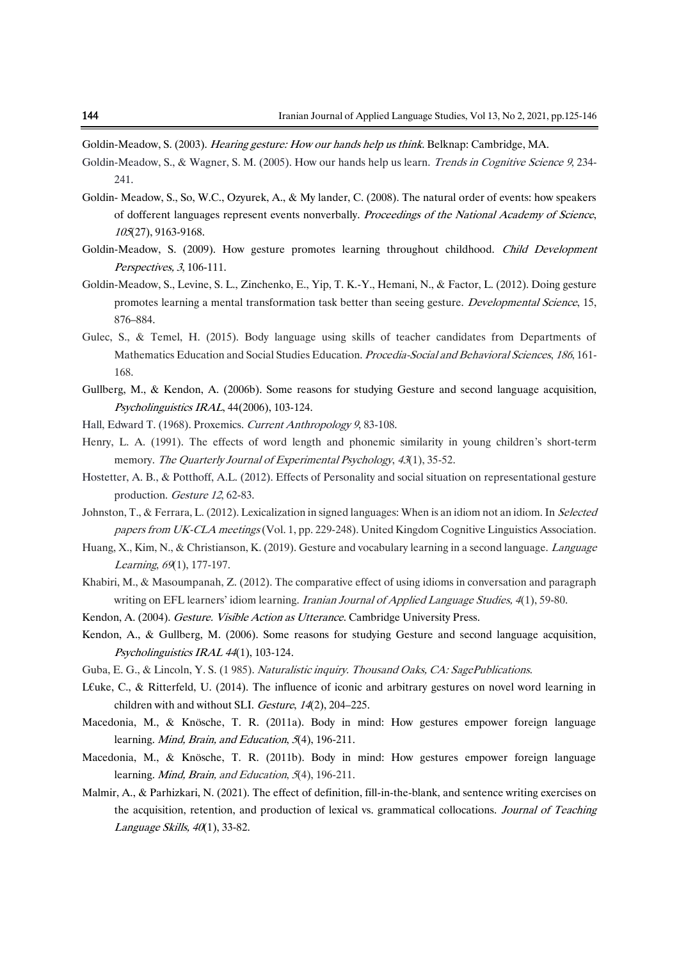Goldin-Meadow, S. (2003). Hearing gesture: How our hands help us think. Belknap: Cambridge, MA.

- Goldin-Meadow, S., & Wagner, S. M. (2005). How our hands help us learn. Trends in Cognitive Science 9, 234-241.
- Goldin- Meadow, S., So, W.C., Ozyurek, A., & My lander, C. (2008). The natural order of events: how speakers of dofferent languages represent events nonverbally. Proceedings of the National Academy of Science, <sup>105</sup>(27), 9163-9168.
- Goldin-Meadow, S. (2009). How gesture promotes learning throughout childhood. Child Development Perspectives, 3, 106-111.
- Goldin-Meadow, S., Levine, S. L., Zinchenko, E., Yip, T. K.-Y., Hemani, N., & Factor, L. (2012). Doing gesture promotes learning a mental transformation task better than seeing gesture. Developmental Science, 15, 876–884.
- Gulec, S., & Temel, H. (2015). Body language using skills of teacher candidates from Departments of Mathematics Education and Social Studies Education. Procedia-Social and Behavioral Sciences, <sup>186</sup>, 161- 168.
- Gullberg, M., & Kendon, A. (2006b). Some reasons for studying Gesture and second language acquisition, Psycholinguistics IRAL, 44(2006), 103-124.
- Hall, Edward T. (1968). Proxemics. Current Anthropology <sup>9</sup>, 83-108.
- Henry, L. A. (1991). The effects of word length and phonemic similarity in young children's short-term memory. The Quarterly Journal of Experimental Psychology, 43(1), 35-52.
- Hostetter, A. B., & Potthoff, A.L. (2012). Effects of Personality and social situation on representational gesture production. Gesture 12, 62-83.
- Johnston, T., & Ferrara, L. (2012). Lexicalization in signed languages: When is an idiom not an idiom. In Selected papers from UK-CLA meetings (Vol. 1, pp. 229-248). United Kingdom Cognitive Linguistics Association.
- Huang, X., Kim, N., & Christianson, K. (2019). Gesture and vocabulary learning in a second language. *Language* Learning, <sup>69</sup>(1), 177-197.
- Khabiri, M., & Masoumpanah, Z. (2012). The comparative effect of using idioms in conversation and paragraph writing on EFL learners' idiom learning. Iranian Journal of Applied Language Studies, 4(1), 59-80.
- Kendon, A. (2004). Gesture. Visible Action as Utterance. Cambridge University Press.
- Kendon, A., & Gullberg, M. (2006). Some reasons for studying Gesture and second language acquisition, Psycholinguistics IRAL 44(1), 103-124.
- Guba, E. G., & Lincoln, Y. S. (1985). Naturalistic inquiry. Thousand Oaks, CA: SagePublications.
- L€uke, C., & Ritterfeld, U. (2014). The influence of iconic and arbitrary gestures on novel word learning in children with and without SLI. Gesture, 14(2), 204–225.
- Macedonia, M., & Knösche, T. R. (2011a). Body in mind: How gestures empower foreign language learning. Mind, Brain, and Education, 5(4), 196-211.
- Macedonia, M., & Knösche, T. R. (2011b). Body in mind: How gestures empower foreign language learning. *Mind, Brain, and Education, 5*(4), 196-211.
- Malmir, A., & Parhizkari, N. (2021). The effect of definition, fill-in-the-blank, and sentence writing exercises on the acquisition, retention, and production of lexical vs. grammatical collocations. Journal of Teaching Language Skills, 40(1), 33-82.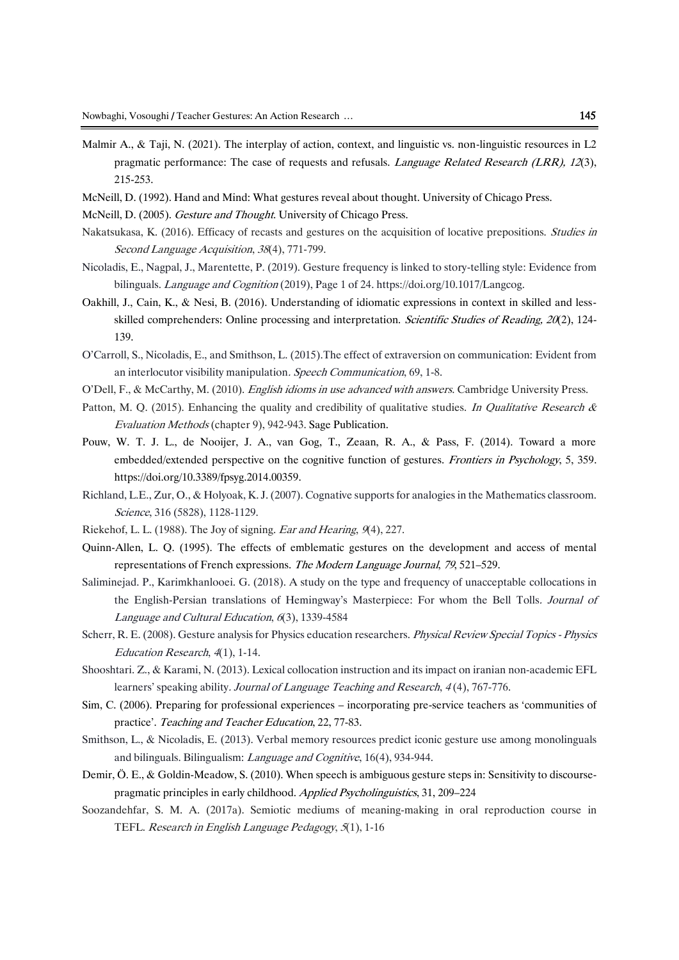- Malmir A., & Taji, N. (2021). The interplay of action, context, and linguistic vs. non-linguistic resources in L2 pragmatic performance: The case of requests and refusals. *Language Related Research (LRR), 12*(3), 215-253.
- McNeill, D. (1992). Hand and Mind: What gestures reveal about thought. University of Chicago Press.
- McNeill, D. (2005). Gesture and Thought. University of Chicago Press.
- Nakatsukasa, K. (2016). Efficacy of recasts and gestures on the acquisition of locative prepositions. *Studies in* Second Language Acquisition, <sup>38</sup>(4), 771-799.
- Nicoladis, E., Nagpal, J., Marentette, P. (2019). Gesture frequency is linked to story-telling style: Evidence from bilinguals. Language and Cognition (2019), Page 1 of 24. https://doi.org/10.1017/Langcog.
- Oakhill, J., Cain, K., & Nesi, B. (2016). Understanding of idiomatic expressions in context in skilled and lessskilled comprehenders: Online processing and interpretation. Scientific Studies of Reading, 20(2), 124-139.
- O'Carroll, S., Nicoladis, E., and Smithson, L. (2015).The effect of extraversion on communication: Evident from an interlocutor visibility manipulation. Speech Communication, 69, 1-8.
- O'Dell, F., & McCarthy, M. (2010). English idioms in use advanced with answers. Cambridge University Press.
- Patton, M. Q. (2015). Enhancing the quality and credibility of qualitative studies. In Qualitative Research  $\&$ Evaluation Methods (chapter 9), 942-943. Sage Publication.
- Pouw, W. T. J. L., de Nooijer, J. A., van Gog, T., Zeaan, R. A., & Pass, F. (2014). Toward a more embedded/extended perspective on the cognitive function of gestures. Frontiers in Psychology, 5, 359. [https://doi.org/10.3389/fpsyg.2014.00359.](https://doi.org/10.3389/fpsyg.2014.00359)
- Richland, L.E., Zur, O., & Holyoak, K. J. (2007). Cognative supports for analogies in the Mathematics classroom. Science, 316 (5828), 1128-1129.
- Riekehof, L. L. (1988). The Joy of signing. Ear and Hearing, <sup>9</sup>(4), 227.
- Quinn-Allen, L. Q. (1995). The effects of emblematic gestures on the development and access of mental representations of French expressions. The Modern Language Journal, 79, 521–529.
- Saliminejad. P., Karimkhanlooei. G. (2018). A study on the type and frequency of unacceptable collocations in the English-Persian translations of Hemingway's Masterpiece: For whom the Bell Tolls. Journal of Language and Cultural Education, <sup>6</sup>(3), 1339-4584
- Scherr, R. E. (2008). Gesture analysis for Physics education researchers. Physical Review Special Topics Physics Education Research, <sup>4</sup>(1), 1-14.
- Shooshtari. Z., & Karami, N. (2013). Lexical collocation instruction and its impact on iranian non-academic EFL learners' speaking ability. Journal of Language Teaching and Research, <sup>4</sup> (4), 767-776.
- Sim, C. (2006). Preparing for professional experiences incorporating pre‐service teachers as 'communities of practice'. Teaching and Teacher Education, 22, 77-83.
- Smithson, L., & Nicoladis, E. (2013). Verbal memory resources predict iconic gesture use among monolinguals and bilinguals. Bilingualism: Language and Cognitive, 16(4), 934-944.
- Demir, Ö. E., & Goldin-Meadow, S. (2010). When speech is ambiguous gesture steps in: Sensitivity to discoursepragmatic principles in early childhood. Applied Psycholinguistics, 31, 209–224
- Soozandehfar, S. M. A. (2017a). Semiotic mediums of meaning-making in oral reproduction course in TEFL. Research in English Language Pedagogy, <sup>5</sup>(1), 1-16